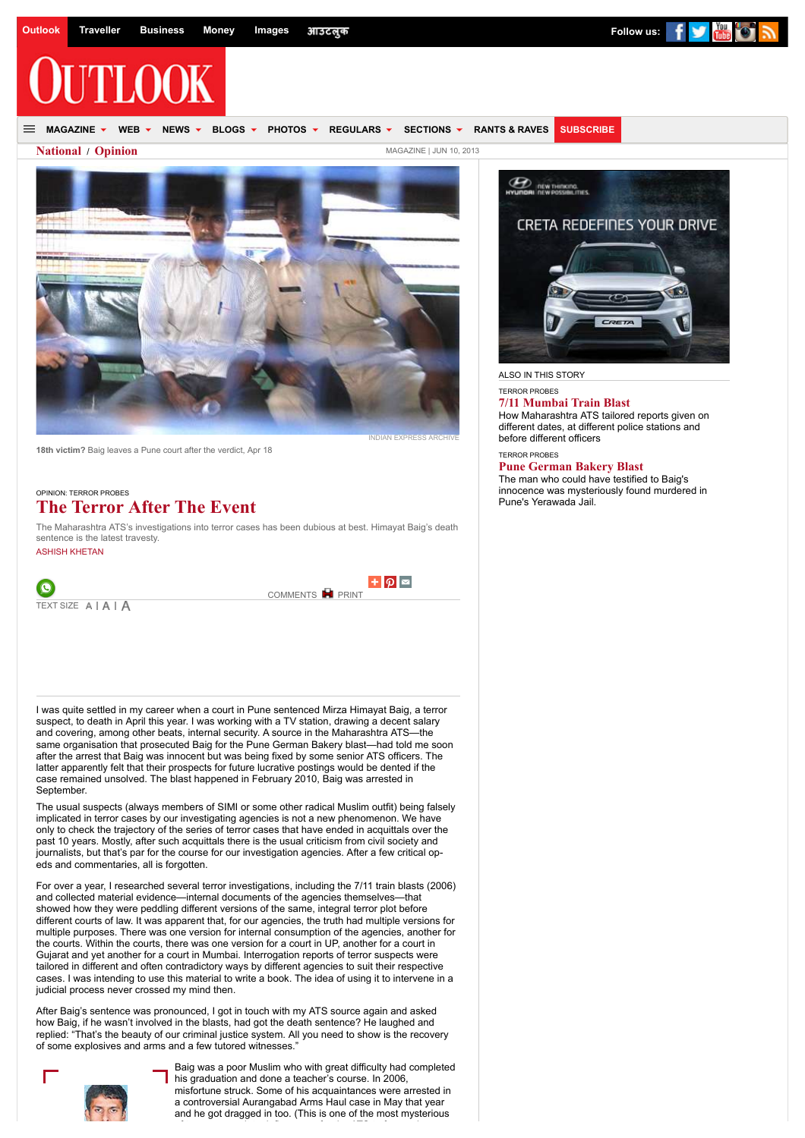**MAGAZINE WEB NEWS BLOGS PHOTOS REGULARS SECTIONS [RANTS & RAVES](http://www.outlookindia.com/feedbacks) [SUBSCRIBE](http://subscription.outlookindia.com/outlook)**

**[National](http://www.outlookindia.com/section/national/19) / [Opinion](http://www.outlookindia.com/subsection/opinion/5)** [MAGAZINE | JUN 10, 2013](http://www.outlookindia.com/content.aspx?issue=11074)



**18th victim?** Baig leaves a Pune court after the verdict, Apr 18

OPINION: TERROR PROBES

# **The Terror After The Event**

The Maharashtra ATS's investigations into terror cases has been dubious at best. Himayat Baig's death sentence is the latest travesty.

[ASHISH KHETAN](http://www.outlookindia.com/people/1/ashish-khetan/15071)



[COMMENTS](http://www.outlookindia.com/article/the-terror-after-the-event/285770#comments) **P** [PRINT](http://www.outlookindia.com/printarticle.aspx?285770)



I was quite settled in my career when a court in Pune sentenced Mirza Himayat Baig, a terror suspect, to death in April this year. I was working with a TV station, drawing a decent salary and covering, among other beats, internal security. A source in the Maharashtra ATS—the same organisation that prosecuted Baig for the Pune German Bakery blast—had told me soon after the arrest that Baig was innocent but was being fixed by some senior ATS officers. The latter apparently felt that their prospects for future lucrative postings would be dented if the case remained unsolved. The blast happened in February 2010, Baig was arrested in September.

The usual suspects (always members of SIMI or some other radical Muslim outfit) being falsely implicated in terror cases by our investigating agencies is not a new phenomenon. We have only to check the trajectory of the series of terror cases that have ended in acquittals over the past 10 years. Mostly, after such acquittals there is the usual criticism from civil society and journalists, but that's par for the course for our investigation agencies. After a few critical opeds and commentaries, all is forgotten.

For over a year, I researched several terror investigations, including the 7/11 train blasts (2006) and collected material evidence—internal documents of the agencies themselves—that showed how they were peddling different versions of the same, integral terror plot before different courts of law. It was apparent that, for our agencies, the truth had multiple versions for multiple purposes. There was one version for internal consumption of the agencies, another for the courts. Within the courts, there was one version for a court in UP, another for a court in Gujarat and yet another for a court in Mumbai. Interrogation reports of terror suspects were tailored in different and often contradictory ways by different agencies to suit their respective cases. I was intending to use this material to write a book. The idea of using it to intervene in a judicial process never crossed my mind then.

After Baig's sentence was pronounced, I got in touch with my ATS source again and asked how Baig, if he wasn't involved in the blasts, had got the death sentence? He laughed and replied: "That's the beauty of our criminal justice system. All you need to show is the recovery of some explosives and arms and a few tutored witnesses."



Baig was a poor Muslim who with great difficulty had completed his graduation and done a teacher's course. In 2006, misfortune struck. Some of his acquaintances were arrested in a controversial Aurangabad Arms Haul case in May that year and he got dragged in too. (This is one of the most mysterious

of terror cases. It took five years for the ATS to frame charges. It took five years for the ATS to frame charges  $\sim$ 



ALSO IN THIS STORY

## TERROR PROBES

**[7/11 Mumbai Train Blast](http://www.outlookindia.com/article/711-mumbai-train-blast/285772)** How Maharashtra ATS tailored reports given on different dates, at different police stations and before different officers

#### TERROR PROBES **[Pune German Bakery Blast](http://www.outlookindia.com/article/pune-german-bakery-blast/285773)**

The man who could have testified to Baig's innocence was mysteriously found murdered in Pune's Yerawada Jail.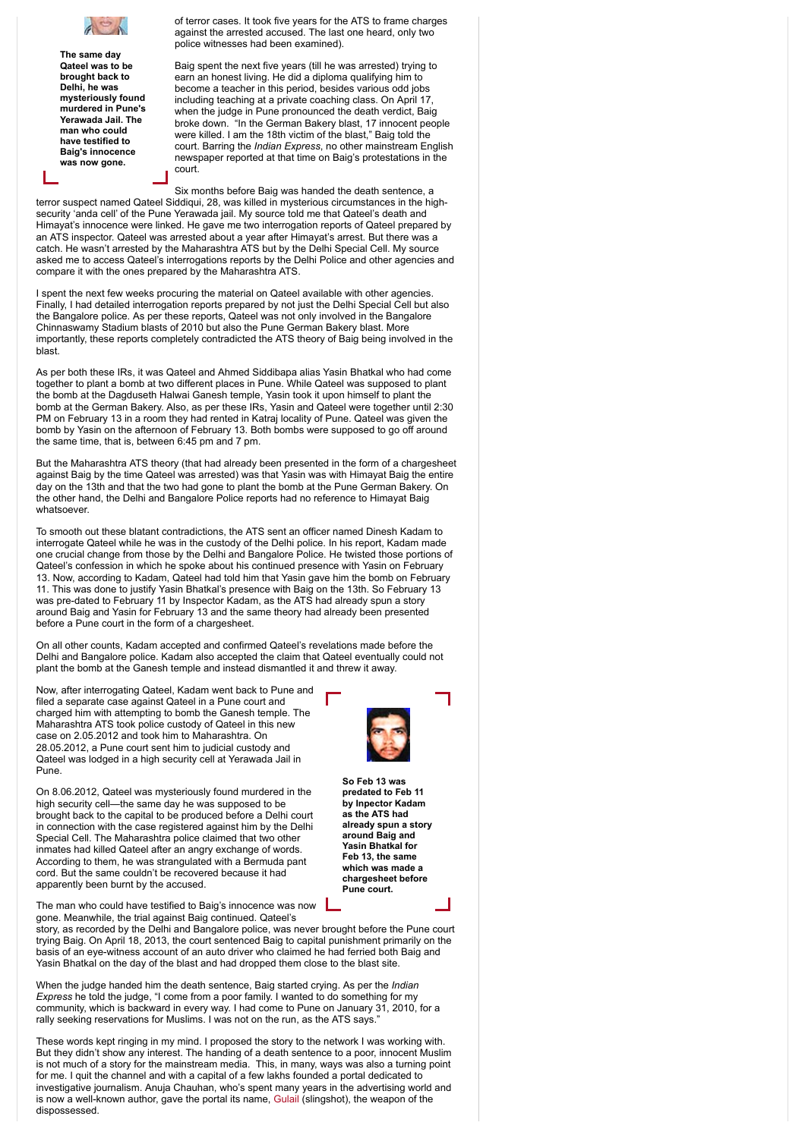

**The same day Qateel was to be brought back to Delhi, he was mysteriously found murdered in Pune's Yerawada Jail. The man who could have testified to Baig's innocence was now gone.**

of terror cases. It took five years for the ATS to frame charges against the arrested accused. The last one heard, only two police witnesses had been examined).

Baig spent the next five years (till he was arrested) trying to earn an honest living. He did a diploma qualifying him to become a teacher in this period, besides various odd jobs including teaching at a private coaching class. On April 17, when the judge in Pune pronounced the death verdict, Baig broke down. "In the German Bakery blast, 17 innocent people were killed. I am the 18th victim of the blast," Baig told the court. Barring the *Indian Express*, no other mainstream English newspaper reported at that time on Baig's protestations in the court.

Six months before Baig was handed the death sentence, a terror suspect named Qateel Siddiqui, 28, was killed in mysterious circumstances in the highsecurity 'anda cell' of the Pune Yerawada jail. My source told me that Qateel's death and Himayat's innocence were linked. He gave me two interrogation reports of Qateel prepared by an ATS inspector. Qateel was arrested about a year after Himayat's arrest. But there was a catch. He wasn't arrested by the Maharashtra ATS but by the Delhi Special Cell. My source asked me to access Qateel's interrogations reports by the Delhi Police and other agencies and compare it with the ones prepared by the Maharashtra ATS.

I spent the next few weeks procuring the material on Qateel available with other agencies. Finally, I had detailed interrogation reports prepared by not just the Delhi Special Cell but also the Bangalore police. As per these reports, Qateel was not only involved in the Bangalore Chinnaswamy Stadium blasts of 2010 but also the Pune German Bakery blast. More importantly, these reports completely contradicted the ATS theory of Baig being involved in the blast.

As per both these IRs, it was Qateel and Ahmed Siddibapa alias Yasin Bhatkal who had come together to plant a bomb at two different places in Pune. While Qateel was supposed to plant the bomb at the Dagduseth Halwai Ganesh temple, Yasin took it upon himself to plant the bomb at the German Bakery. Also, as per these IRs, Yasin and Qateel were together until 2:30 PM on February 13 in a room they had rented in Katraj locality of Pune. Qateel was given the bomb by Yasin on the afternoon of February 13. Both bombs were supposed to go off around the same time, that is, between 6:45 pm and 7 pm.

But the Maharashtra ATS theory (that had already been presented in the form of a chargesheet against Baig by the time Qateel was arrested) was that Yasin was with Himayat Baig the entire day on the 13th and that the two had gone to plant the bomb at the Pune German Bakery. On the other hand, the Delhi and Bangalore Police reports had no reference to Himayat Baig whatsoever.

To smooth out these blatant contradictions, the ATS sent an officer named Dinesh Kadam to interrogate Qateel while he was in the custody of the Delhi police. In his report, Kadam made one crucial change from those by the Delhi and Bangalore Police. He twisted those portions of Qateel's confession in which he spoke about his continued presence with Yasin on February 13. Now, according to Kadam, Qateel had told him that Yasin gave him the bomb on February 11. This was done to justify Yasin Bhatkal's presence with Baig on the 13th. So February 13 was pre-dated to February 11 by Inspector Kadam, as the ATS had already spun a story around Baig and Yasin for February 13 and the same theory had already been presented before a Pune court in the form of a chargesheet.

On all other counts, Kadam accepted and confirmed Qateel's revelations made before the Delhi and Bangalore police. Kadam also accepted the claim that Qateel eventually could not plant the bomb at the Ganesh temple and instead dismantled it and threw it away.

Now, after interrogating Qateel, Kadam went back to Pune and filed a separate case against Qateel in a Pune court and charged him with attempting to bomb the Ganesh temple. The Maharashtra ATS took police custody of Qateel in this new case on 2.05.2012 and took him to Maharashtra. On 28.05.2012, a Pune court sent him to judicial custody and Qateel was lodged in a high security cell at Yerawada Jail in Pune.



On 8.06.2012, Qateel was mysteriously found murdered in the high security cell—the same day he was supposed to be brought back to the capital to be produced before a Delhi court in connection with the case registered against him by the Delhi Special Cell. The Maharashtra police claimed that two other inmates had killed Qateel after an angry exchange of words. According to them, he was strangulated with a Bermuda pant cord. But the same couldn't be recovered because it had apparently been burnt by the accused.

The man who could have testified to Baig's innocence was now gone. Meanwhile, the trial against Baig continued. Qateel's



**chargesheet before Pune court.** story, as recorded by the Delhi and Bangalore police, was never brought before the Pune court

trying Baig. On April 18, 2013, the court sentenced Baig to capital punishment primarily on the basis of an eye-witness account of an auto driver who claimed he had ferried both Baig and Yasin Bhatkal on the day of the blast and had dropped them close to the blast site.

When the judge handed him the death sentence, Baig started crying. As per the *Indian Express* he told the judge, "I come from a poor family. I wanted to do something for my community, which is backward in every way. I had come to Pune on January 31, 2010, for a rally seeking reservations for Muslims. I was not on the run, as the ATS says.'

These words kept ringing in my mind. I proposed the story to the network I was working with. But they didn't show any interest. The handing of a death sentence to a poor, innocent Muslim is not much of a story for the mainstream media. This, in many, ways was also a turning point for me. I quit the channel and with a capital of a few lakhs founded a portal dedicated to investigative journalism. Anuja Chauhan, who's spent many years in the advertising world and is now a well-known author, gave the portal its name, [Gulail](http://gulail.com/) (slingshot), the weapon of the dispossessed.